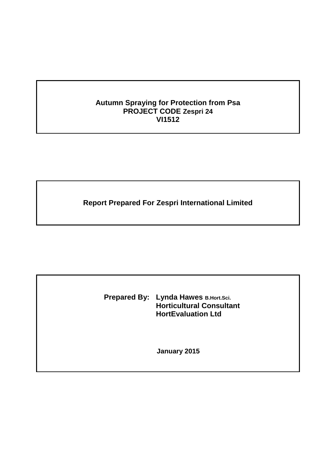# **Autumn Spraying for Protection from Psa PROJECT CODE Zespri 24 VI1512**

**Report Prepared For Zespri International Limited**

**Prepared By: Lynda Hawes B.Hort.Sci. Horticultural Consultant HortEvaluation Ltd**

**January 2015**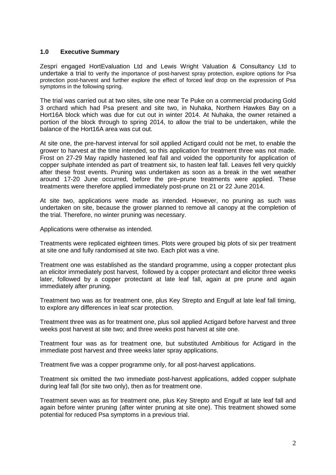#### **1.0 Executive Summary**

Zespri engaged HortEvaluation Ltd and Lewis Wright Valuation & Consultancy Ltd to undertake a trial to verify the importance of post-harvest spray protection, explore options for Psa protection post-harvest and further explore the effect of forced leaf drop on the expression of Psa symptoms in the following spring.

The trial was carried out at two sites, site one near Te Puke on a commercial producing Gold 3 orchard which had Psa present and site two, in Nuhaka, Northern Hawkes Bay on a Hort16A block which was due for cut out in winter 2014. At Nuhaka, the owner retained a portion of the block through to spring 2014, to allow the trial to be undertaken, while the balance of the Hort16A area was cut out.

At site one, the pre-harvest interval for soil applied Actigard could not be met, to enable the grower to harvest at the time intended, so this application for treatment three was not made. Frost on 27-29 May rapidly hastened leaf fall and voided the opportunity for application of copper sulphate intended as part of treatment six, to hasten leaf fall. Leaves fell very quickly after these frost events. Pruning was undertaken as soon as a break in the wet weather around 17-20 June occurred, before the pre–prune treatments were applied. These treatments were therefore applied immediately post-prune on 21 or 22 June 2014.

At site two, applications were made as intended. However, no pruning as such was undertaken on site, because the grower planned to remove all canopy at the completion of the trial. Therefore, no winter pruning was necessary.

Applications were otherwise as intended.

Treatments were replicated eighteen times. Plots were grouped big plots of six per treatment at site one and fully randomised at site two. Each plot was a vine.

Treatment one was established as the standard programme, using a copper protectant plus an elicitor immediately post harvest, followed by a copper protectant and elicitor three weeks later, followed by a copper protectant at late leaf fall, again at pre prune and again immediately after pruning.

Treatment two was as for treatment one, plus Key Strepto and Engulf at late leaf fall timing, to explore any differences in leaf scar protection.

Treatment three was as for treatment one, plus soil applied Actigard before harvest and three weeks post harvest at site two; and three weeks post harvest at site one.

Treatment four was as for treatment one, but substituted Ambitious for Actigard in the immediate post harvest and three weeks later spray applications.

Treatment five was a copper programme only, for all post-harvest applications.

Treatment six omitted the two immediate post-harvest applications, added copper sulphate during leaf fall (for site two only), then as for treatment one.

Treatment seven was as for treatment one, plus Key Strepto and Engulf at late leaf fall and again before winter pruning (after winter pruning at site one). This treatment showed some potential for reduced Psa symptoms in a previous trial.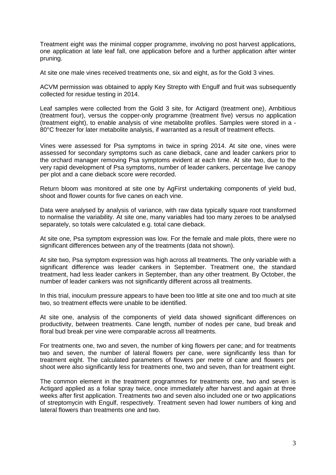Treatment eight was the minimal copper programme, involving no post harvest applications, one application at late leaf fall, one application before and a further application after winter pruning.

At site one male vines received treatments one, six and eight, as for the Gold 3 vines.

ACVM permission was obtained to apply Key Strepto with Engulf and fruit was subsequently collected for residue testing in 2014.

Leaf samples were collected from the Gold 3 site, for Actigard (treatment one), Ambitious (treatment four), versus the copper-only programme (treatment five) versus no application (treatment eight), to enable analysis of vine metabolite profiles. Samples were stored in a - 80°C freezer for later metabolite analysis, if warranted as a result of treatment effects.

Vines were assessed for Psa symptoms in twice in spring 2014. At site one, vines were assessed for secondary symptoms such as cane dieback, cane and leader cankers prior to the orchard manager removing Psa symptoms evident at each time. At site two, due to the very rapid development of Psa symptoms, number of leader cankers, percentage live canopy per plot and a cane dieback score were recorded.

Return bloom was monitored at site one by AgFirst undertaking components of yield bud, shoot and flower counts for five canes on each vine.

Data were analysed by analysis of variance, with raw data typically square root transformed to normalise the variability. At site one, many variables had too many zeroes to be analysed separately, so totals were calculated e.g. total cane dieback.

At site one, Psa symptom expression was low. For the female and male plots, there were no significant differences between any of the treatments (data not shown).

At site two, Psa symptom expression was high across all treatments. The only variable with a significant difference was leader cankers in September. Treatment one, the standard treatment, had less leader cankers in September, than any other treatment. By October, the number of leader cankers was not significantly different across all treatments.

In this trial, inoculum pressure appears to have been too little at site one and too much at site two, so treatment effects were unable to be identified.

At site one, analysis of the components of yield data showed significant differences on productivity, between treatments. Cane length, number of nodes per cane, bud break and floral bud break per vine were comparable across all treatments.

For treatments one, two and seven, the number of king flowers per cane; and for treatments two and seven, the number of lateral flowers per cane, were significantly less than for treatment eight. The calculated parameters of flowers per metre of cane and flowers per shoot were also significantly less for treatments one, two and seven, than for treatment eight.

The common element in the treatment programmes for treatments one, two and seven is Actigard applied as a foliar spray twice, once immediately after harvest and again at three weeks after first application. Treatments two and seven also included one or two applications of streptomycin with Engulf, respectively. Treatment seven had lower numbers of king and lateral flowers than treatments one and two.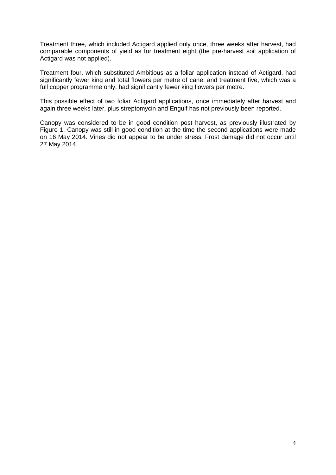Treatment three, which included Actigard applied only once, three weeks after harvest, had comparable components of yield as for treatment eight (the pre-harvest soil application of Actigard was not applied).

Treatment four, which substituted Ambitious as a foliar application instead of Actigard, had significantly fewer king and total flowers per metre of cane; and treatment five, which was a full copper programme only, had significantly fewer king flowers per metre.

This possible effect of two foliar Actigard applications, once immediately after harvest and again three weeks later, plus streptomycin and Engulf has not previously been reported.

Canopy was considered to be in good condition post harvest, as previously illustrated by Figure 1. Canopy was still in good condition at the time the second applications were made on 16 May 2014. Vines did not appear to be under stress. Frost damage did not occur until 27 May 2014.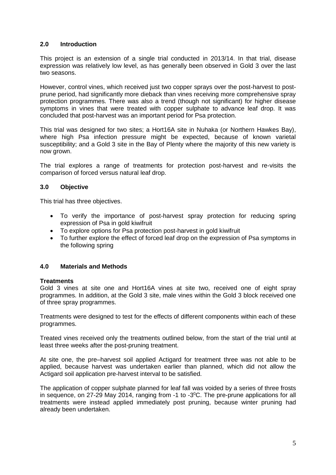## **2.0 Introduction**

This project is an extension of a single trial conducted in 2013/14. In that trial, disease expression was relatively low level, as has generally been observed in Gold 3 over the last two seasons.

However, control vines, which received just two copper sprays over the post-harvest to postprune period, had significantly more dieback than vines receiving more comprehensive spray protection programmes. There was also a trend (though not significant) for higher disease symptoms in vines that were treated with copper sulphate to advance leaf drop. It was concluded that post-harvest was an important period for Psa protection.

This trial was designed for two sites; a Hort16A site in Nuhaka (or Northern Hawkes Bay), where high Psa infection pressure might be expected, because of known varietal susceptibility; and a Gold 3 site in the Bay of Plenty where the majority of this new variety is now grown.

The trial explores a range of treatments for protection post-harvest and re-visits the comparison of forced versus natural leaf drop.

#### **3.0 Objective**

This trial has three objectives.

- To verify the importance of post-harvest spray protection for reducing spring expression of Psa in gold kiwifruit
- To explore options for Psa protection post-harvest in gold kiwifruit
- To further explore the effect of forced leaf drop on the expression of Psa symptoms in the following spring

#### **4.0 Materials and Methods**

#### **Treatments**

Gold 3 vines at site one and Hort16A vines at site two, received one of eight spray programmes. In addition, at the Gold 3 site, male vines within the Gold 3 block received one of three spray programmes.

Treatments were designed to test for the effects of different components within each of these programmes.

Treated vines received only the treatments outlined below, from the start of the trial until at least three weeks after the post-pruning treatment.

At site one, the pre–harvest soil applied Actigard for treatment three was not able to be applied, because harvest was undertaken earlier than planned, which did not allow the Actigard soil application pre-harvest interval to be satisfied.

The application of copper sulphate planned for leaf fall was voided by a series of three frosts in sequence, on 27-29 May 2014, ranging from  $-1$  to  $-3^{\circ}$ C. The pre-prune applications for all treatments were instead applied immediately post pruning, because winter pruning had already been undertaken.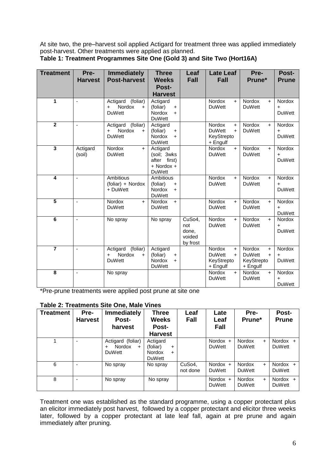At site two, the pre–harvest soil applied Actigard for treatment three was applied immediately post-harvest. Other treatments were applied as planned.

| <b>Treatment</b>        | Pre-<br><b>Harvest</b> | <b>Immediately</b><br><b>Post-harvest</b>                                    | <b>Three</b><br><b>Weeks</b><br><b>Post-</b>                                 | Leaf<br><b>Fall</b>                          | <b>Late Leaf</b><br><b>Fall</b>                                              | Pre-<br>Prune*                                                               | Post-<br><b>Prune</b>                       |
|-------------------------|------------------------|------------------------------------------------------------------------------|------------------------------------------------------------------------------|----------------------------------------------|------------------------------------------------------------------------------|------------------------------------------------------------------------------|---------------------------------------------|
|                         |                        |                                                                              | <b>Harvest</b>                                                               |                                              |                                                                              |                                                                              |                                             |
| 1                       | $\blacksquare$         | (foliar)<br>Actigard<br><b>Nordox</b><br>$\ddot{}$<br><b>DuWett</b>          | Actigard<br>(foliar)<br>$\ddot{}$<br><b>Nordox</b><br>$+$<br><b>DuWett</b>   |                                              | Nordox<br>$+$<br><b>DuWett</b>                                               | Nordox<br>$+$<br><b>DuWett</b>                                               | <b>Nordox</b><br>+<br><b>DuWett</b>         |
| $\overline{2}$          | $\blacksquare$         | (foliar)<br>Actigard<br><b>Nordox</b><br>$\pm$<br>$\ddot{}$<br><b>DuWett</b> | Actigard<br>(foliar)<br>$\ddot{}$<br><b>Nordox</b><br>$+$<br><b>DuWett</b>   |                                              | Nordox<br>$\ddot{}$<br><b>DuWett</b><br>$+$<br>KeyStrepto<br>+ Engulf        | Nordox<br>$+$<br><b>DuWett</b>                                               | Nordox<br>$\ddot{}$<br><b>DuWett</b>        |
| $\overline{\mathbf{3}}$ | Actigard<br>(soil)     | Nordox<br>$+$<br><b>DuWett</b>                                               | Actigard<br>(soil; 3wks)<br>after first)<br>$+$ Nordox $+$<br><b>DuWett</b>  |                                              | <b>Nordox</b><br>$+$<br><b>DuWett</b>                                        | Nordox<br>$+$<br><b>DuWett</b>                                               | Nordox<br>$\ddot{}$<br><b>DuWett</b>        |
| 4                       | $\blacksquare$         | <b>Ambitious</b><br>(foliar) + Nordox<br>+ DuWett                            | <b>Ambitious</b><br>(foliar)<br>$+$<br><b>Nordox</b><br>$+$<br><b>DuWett</b> |                                              | Nordox<br>$+$<br><b>DuWett</b>                                               | Nordox<br>$+$<br><b>DuWett</b>                                               | Nordox<br>$\ddot{}$<br><b>DuWett</b>        |
| $\overline{5}$          | $\sim$                 | Nordox<br>$+$<br><b>DuWett</b>                                               | Nordox<br>$+$<br><b>DuWett</b>                                               |                                              | Nordox<br>$+$<br><b>DuWett</b>                                               | Nordox<br>$+$<br><b>DuWett</b>                                               | <b>Nordox</b><br>$\ddot{}$<br><b>DuWett</b> |
| $\overline{6}$          | $\tilde{\phantom{a}}$  | No spray                                                                     | No spray                                                                     | CuSo4,<br>not<br>done,<br>voided<br>by frost | <b>Nordox</b><br>$+$<br><b>DuWett</b>                                        | Nordox<br>$+$<br><b>DuWett</b>                                               | <b>Nordox</b><br>$\ddot{}$<br><b>DuWett</b> |
| $\overline{7}$          | $\sim$                 | (foliar)<br>Actigard<br>Nordox<br>$\ddot{}$<br>$\ddot{}$<br><b>DuWett</b>    | Actigard<br>(foliar)<br>$\ddot{}$<br><b>Nordox</b><br>$+$<br><b>DuWett</b>   |                                              | <b>Nordox</b><br>$\ddot{}$<br><b>DuWett</b><br>$+$<br>KeyStrepto<br>+ Engulf | <b>Nordox</b><br>$\ddot{}$<br><b>DuWett</b><br>$+$<br>KeyStrepto<br>+ Engulf | <b>Nordox</b><br><b>DuWett</b>              |
| $\overline{\mathbf{8}}$ | ÷,                     | No spray                                                                     |                                                                              |                                              | <b>Nordox</b><br>$+$<br><b>DuWett</b>                                        | Nordox<br>$+$<br><b>DuWett</b>                                               | Nordox<br><b>DuWett</b>                     |

### **Table 1: Treatment Programmes Site One (Gold 3) and Site Two (Hort16A)**

\*Pre-prune treatments were applied post prune at site one

## **Table 2: Treatments Site One, Male Vines**

| <b>Treatment</b> | Pre-<br><b>Harvest</b> | <b>Immediately</b><br>Post-<br>harvest                              | <b>Three</b><br>Weeks<br><b>Post-</b><br><b>Harvest</b>                          | Leaf<br>Fall       | Late<br>Leaf<br><b>Fall</b> | Pre-<br>Prune*                        | Post-<br><b>Prune</b>          |
|------------------|------------------------|---------------------------------------------------------------------|----------------------------------------------------------------------------------|--------------------|-----------------------------|---------------------------------------|--------------------------------|
|                  |                        | Actigard (foliar)<br>Nordox<br>$\div$<br>$\ddot{}$<br><b>DuWett</b> | Actigard<br>(foliar)<br>$\ddot{}$<br><b>Nordox</b><br>$\ddot{}$<br><b>DuWett</b> |                    | Nordox $+$<br><b>DuWett</b> | Nordox<br>$\ddot{}$<br><b>DuWett</b>  | Nordox +<br><b>DuWett</b>      |
| 6                |                        | No spray                                                            | No spray                                                                         | CuSo4,<br>not done | Nordox $+$<br><b>DuWett</b> | <b>Nordox</b><br>$+$<br><b>DuWett</b> | Nordox $+$<br><b>DuWett</b>    |
| 8                |                        | No spray                                                            | No spray                                                                         |                    | Nordox $+$<br><b>DuWett</b> | Nordox<br>$+$<br><b>DuWett</b>        | Nordox<br>$+$<br><b>DuWett</b> |

Treatment one was established as the standard programme, using a copper protectant plus an elicitor immediately post harvest, followed by a copper protectant and elicitor three weeks later, followed by a copper protectant at late leaf fall, again at pre prune and again immediately after pruning.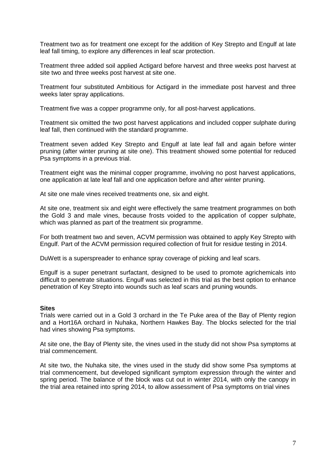Treatment two as for treatment one except for the addition of Key Strepto and Engulf at late leaf fall timing, to explore any differences in leaf scar protection.

Treatment three added soil applied Actigard before harvest and three weeks post harvest at site two and three weeks post harvest at site one.

Treatment four substituted Ambitious for Actigard in the immediate post harvest and three weeks later spray applications.

Treatment five was a copper programme only, for all post-harvest applications.

Treatment six omitted the two post harvest applications and included copper sulphate during leaf fall, then continued with the standard programme.

Treatment seven added Key Strepto and Engulf at late leaf fall and again before winter pruning (after winter pruning at site one). This treatment showed some potential for reduced Psa symptoms in a previous trial.

Treatment eight was the minimal copper programme, involving no post harvest applications, one application at late leaf fall and one application before and after winter pruning.

At site one male vines received treatments one, six and eight.

At site one, treatment six and eight were effectively the same treatment programmes on both the Gold 3 and male vines, because frosts voided to the application of copper sulphate, which was planned as part of the treatment six programme.

For both treatment two and seven, ACVM permission was obtained to apply Key Strepto with Engulf. Part of the ACVM permission required collection of fruit for residue testing in 2014.

DuWett is a superspreader to enhance spray coverage of picking and leaf scars.

Engulf is a super penetrant surfactant, designed to be used to promote agrichemicals into difficult to penetrate situations. Engulf was selected in this trial as the best option to enhance penetration of Key Strepto into wounds such as leaf scars and pruning wounds.

#### **Sites**

Trials were carried out in a Gold 3 orchard in the Te Puke area of the Bay of Plenty region and a Hort16A orchard in Nuhaka, Northern Hawkes Bay. The blocks selected for the trial had vines showing Psa symptoms.

At site one, the Bay of Plenty site, the vines used in the study did not show Psa symptoms at trial commencement.

At site two, the Nuhaka site, the vines used in the study did show some Psa symptoms at trial commencement, but developed significant symptom expression through the winter and spring period. The balance of the block was cut out in winter 2014, with only the canopy in the trial area retained into spring 2014, to allow assessment of Psa symptoms on trial vines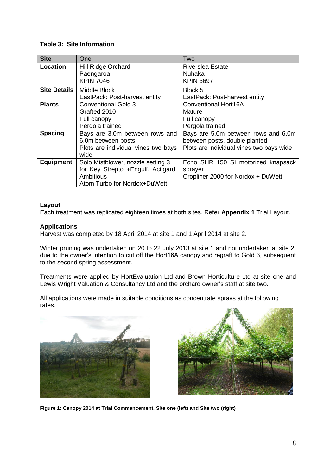### **Table 3: Site Information**

| <b>Site</b>         | One                                 | Two                                      |
|---------------------|-------------------------------------|------------------------------------------|
| Location            | <b>Hill Ridge Orchard</b>           | <b>Riverslea Estate</b>                  |
|                     | Paengaroa                           | Nuhaka                                   |
|                     | <b>KPIN 7046</b>                    | <b>KPIN 3697</b>                         |
| <b>Site Details</b> | Middle Block                        | Block 5                                  |
|                     | EastPack: Post-harvest entity       | EastPack: Post-harvest entity            |
| <b>Plants</b>       | <b>Conventional Gold 3</b>          | <b>Conventional Hort16A</b>              |
|                     | Grafted 2010                        | Mature                                   |
|                     | Full canopy                         | Full canopy                              |
|                     | Pergola trained                     | Pergola trained                          |
| <b>Spacing</b>      | Bays are 3.0m between rows and      | Bays are 5.0m between rows and 6.0m      |
|                     | 6.0m between posts                  | between posts, double planted            |
|                     | Plots are individual vines two bays | Plots are individual vines two bays wide |
|                     | wide                                |                                          |
| <b>Equipment</b>    | Solo Mistblower, nozzle setting 3   | Echo SHR 150 SI motorized knapsack       |
|                     | for Key Strepto + Engulf, Actigard, | sprayer                                  |
|                     | <b>Ambitious</b>                    | Cropliner 2000 for Nordox + DuWett       |
|                     | Atom Turbo for Nordox+DuWett        |                                          |

#### **Layout**

Each treatment was replicated eighteen times at both sites. Refer **Appendix 1** Trial Layout.

## **Applications**

Harvest was completed by 18 April 2014 at site 1 and 1 April 2014 at site 2.

Winter pruning was undertaken on 20 to 22 July 2013 at site 1 and not undertaken at site 2, due to the owner's intention to cut off the Hort16A canopy and regraft to Gold 3, subsequent to the second spring assessment.

Treatments were applied by HortEvaluation Ltd and Brown Horticulture Ltd at site one and Lewis Wright Valuation & Consultancy Ltd and the orchard owner's staff at site two.

All applications were made in suitable conditions as concentrate sprays at the following rates.





**Figure 1: Canopy 2014 at Trial Commencement. Site one (left) and Site two (right)**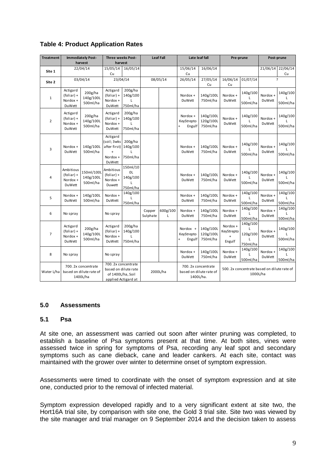| <b>Treatment</b> |                                                       | <b>Immediately Post-</b>                                   | Three weeks Post-                                                                       |                                             |                    | <b>Leaf Fall</b> |                                  | Late leaf fall                                              | Pre-prune                                     |                                                         | Post-prune                |                      |  |
|------------------|-------------------------------------------------------|------------------------------------------------------------|-----------------------------------------------------------------------------------------|---------------------------------------------|--------------------|------------------|----------------------------------|-------------------------------------------------------------|-----------------------------------------------|---------------------------------------------------------|---------------------------|----------------------|--|
|                  |                                                       | harvest                                                    | harvest                                                                                 |                                             |                    |                  |                                  |                                                             |                                               |                                                         |                           |                      |  |
| Site 1           |                                                       | 22/04/14                                                   | 15/05/14<br>Cu                                                                          | 16/05/14                                    |                    |                  |                                  | 16/06/14                                                    |                                               |                                                         |                           | 22/06/14<br>Cu       |  |
| Site 2           |                                                       | 03/04/14                                                   | 23/04/14                                                                                |                                             |                    | 08/05/14         | 26/05/14                         | 27/05/14<br>Cu                                              | 16/06/14<br>01/07/14<br>Cu                    |                                                         |                           | ς                    |  |
| $\mathbf{1}$     | Actigard<br>$(foliar) +$<br>Nordox +<br><b>DuWett</b> | 200g/ha<br>140g/100L<br>500ml/ha                           | Actigard<br>$(foliar) +$<br>Nordox +<br>DuWett                                          | 200g/ha<br>140g/100<br>L<br>750ml/ha        |                    |                  | Nordox +<br><b>DuWett</b>        | 140g/100L<br>750ml/ha                                       | Nordox +<br><b>DuWett</b>                     | 140g/100<br>500ml/ha                                    | Nordox +<br>DuWett        | 140g/100<br>500ml/ha |  |
| $\overline{2}$   | Actigard<br>$(foliar) +$<br>Nordox +<br><b>DuWett</b> | 200g/ha<br>140g/100L<br>500ml/ha                           | Actigard<br>$(foliar) +$<br>Nordox +<br><b>DuWett</b>                                   | 200g/ha<br>140g/100<br>750ml/ha             |                    |                  | Nordox +<br>KeyStrepto<br>Engulf | 140g/100L<br>120g/100L<br>750ml/ha                          | Nordox +<br>DuWett                            | 140g/100<br>L<br>500ml/ha                               | Nordox +<br><b>DuWett</b> | 140g/100<br>500ml/ha |  |
| 3                | Nordox +<br><b>DuWett</b>                             | 140g/100L<br>500ml/ha                                      | Actigard<br>(soil; 3wks<br>after first)<br>$\ddot{}$<br>Nordox +<br>DuWett              | 200g/ha<br>140g/100<br>L<br>750ml/ha        |                    |                  | Nordox +<br>DuWett               | 140g/100L<br>750ml/ha                                       | Nordox +<br>DuWett                            | 140g/100<br>500ml/ha                                    | Nordox +<br>DuWett        | 140g/100<br>500ml/ha |  |
| $\overline{4}$   | Ambitious<br>$(foliar) +$<br>Nordox +<br>DuWett       | 150ml/100L<br>140g/100L<br>500ml/ha                        | Ambitious<br>$(foliar) +$<br>Nordox +<br>Duwett                                         | 150ml/10<br>0L<br>140g/100<br>L<br>750ml/ha |                    |                  | Nordox +<br><b>DuWett</b>        | 140g/100L<br>750ml/ha                                       | Nordox +<br><b>DuWett</b>                     | 140g/100<br>500ml/ha                                    | Nordox +<br><b>DuWett</b> | 140g/100<br>500ml/ha |  |
| 5                | Nordox +<br><b>DuWett</b>                             | 140g/100L<br>500ml/ha                                      | Nordox +<br><b>DuWett</b>                                                               | 140g/100<br>L<br>750ml/ha                   |                    |                  | Nordox +<br>DuWett               | 140g/100L<br>750ml/ha                                       | Nordox +<br>DuWett                            | 140g/100<br>L<br>500ml/ha                               | Nordox +<br>DuWett        | 140g/100<br>500ml/ha |  |
| 6                | No spray                                              |                                                            | No spray                                                                                |                                             | Copper<br>Sulphate | 600g/100<br>L    | Nordox +<br><b>DuWett</b>        | 140g/100L<br>750ml/ha                                       | Nordox +<br><b>DuWett</b>                     | 140g/100<br>L<br>500ml/ha                               | Nordox +<br><b>DuWett</b> | 140g/100<br>500ml/ha |  |
| $\overline{7}$   | Actigard<br>$(foliar) +$<br>Nordox +<br><b>DuWett</b> | 200g/ha<br>140g/100L<br>500ml/ha                           | Actigard<br>$(foliar) +$<br>Nordox +<br>DuWett                                          | 200g/ha<br>140g/100<br>L<br>750ml/ha        |                    |                  | Nordox +<br>KeyStrepto<br>Engulf | 140g/100L<br>120g/100L<br>750ml/ha                          | Nordox +<br>KeyStrepto<br>$\ddot{}$<br>Engulf | 140g/100<br>L<br>120g/100<br>750ml/ha                   | Nordox +<br>DuWett        | 140g/100<br>500ml/ha |  |
| 8                | No spray                                              |                                                            | No spray                                                                                |                                             |                    |                  | Nordox +<br><b>DuWett</b>        | 140g/100L<br>750ml/ha                                       | Nordox +<br>DuWett                            | 140g/100<br>L<br>500ml/ha                               | Nordox +<br>DuWett        | 140g/100<br>500ml/ha |  |
| Water L/ha       |                                                       | 700. 2x concentrate<br>based on dilute rate of<br>1400L/ha | 700. 2x concentrate<br>based on dilute rate<br>of 1400L/ha, Soil<br>applied Actigard at |                                             | 2000L/ha           |                  |                                  | 700. 2x concentrate<br>based on dilute rate of<br>1400L/ha. |                                               | 500. 2x concentrate based on dilute rate of<br>1000L/ha |                           |                      |  |

## **Table 4: Product Application Rates**

#### **5.0 Assessments**

### **5.1 Psa**

At site one, an assessment was carried out soon after winter pruning was completed, to establish a baseline of Psa symptoms present at that time. At both sites, vines were assessed twice in spring for symptoms of Psa, recording any leaf spot and secondary symptoms such as cane dieback, cane and leader cankers. At each site, contact was maintained with the grower over winter to determine onset of symptom expression.

Assessments were timed to coordinate with the onset of symptom expression and at site one, conducted prior to the removal of infected material.

Symptom expression developed rapidly and to a very significant extent at site two, the Hort16A trial site, by comparison with site one, the Gold 3 trial site. Site two was viewed by the site manager and trial manager on 9 September 2014 and the decision taken to assess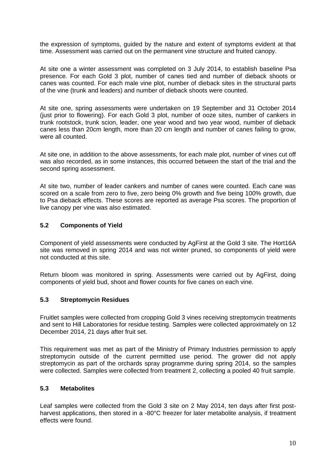the expression of symptoms, guided by the nature and extent of symptoms evident at that time. Assessment was carried out on the permanent vine structure and fruited canopy.

At site one a winter assessment was completed on 3 July 2014, to establish baseline Psa presence. For each Gold 3 plot, number of canes tied and number of dieback shoots or canes was counted. For each male vine plot, number of dieback sites in the structural parts of the vine (trunk and leaders) and number of dieback shoots were counted.

At site one, spring assessments were undertaken on 19 September and 31 October 2014 (just prior to flowering). For each Gold 3 plot, number of ooze sites, number of cankers in trunk rootstock, trunk scion, leader, one year wood and two year wood, number of dieback canes less than 20cm length, more than 20 cm length and number of canes failing to grow, were all counted.

At site one, in addition to the above assessments, for each male plot, number of vines cut off was also recorded, as in some instances, this occurred between the start of the trial and the second spring assessment.

At site two, number of leader cankers and number of canes were counted. Each cane was scored on a scale from zero to five, zero being 0% growth and five being 100% growth, due to Psa dieback effects. These scores are reported as average Psa scores. The proportion of live canopy per vine was also estimated.

#### **5.2 Components of Yield**

Component of yield assessments were conducted by AgFirst at the Gold 3 site. The Hort16A site was removed in spring 2014 and was not winter pruned, so components of yield were not conducted at this site.

Return bloom was monitored in spring. Assessments were carried out by AgFirst, doing components of yield bud, shoot and flower counts for five canes on each vine.

#### **5.3 Streptomycin Residues**

Fruitlet samples were collected from cropping Gold 3 vines receiving streptomycin treatments and sent to Hill Laboratories for residue testing. Samples were collected approximately on 12 December 2014, 21 days after fruit set.

This requirement was met as part of the Ministry of Primary Industries permission to apply streptomycin outside of the current permitted use period. The grower did not apply streptomycin as part of the orchards spray programme during spring 2014, so the samples were collected. Samples were collected from treatment 2, collecting a pooled 40 fruit sample.

#### **5.3 Metabolites**

Leaf samples were collected from the Gold 3 site on 2 May 2014, ten days after first postharvest applications, then stored in a -80°C freezer for later metabolite analysis, if treatment effects were found.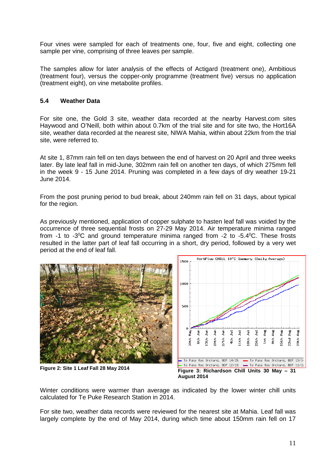Four vines were sampled for each of treatments one, four, five and eight, collecting one sample per vine, comprising of three leaves per sample.

The samples allow for later analysis of the effects of Actigard (treatment one), Ambitious (treatment four), versus the copper-only programme (treatment five) versus no application (treatment eight), on vine metabolite profiles.

### **5.4 Weather Data**

For site one, the Gold 3 site, weather data recorded at the nearby Harvest.com sites Haywood and O'Neill, both within about 0.7km of the trial site and for site two, the Hort16A site, weather data recorded at the nearest site, NIWA Mahia, within about 22km from the trial site, were referred to.

At site 1, 87mm rain fell on ten days between the end of harvest on 20 April and three weeks later. By late leaf fall in mid-June, 302mm rain fell on another ten days, of which 275mm fell in the week 9 - 15 June 2014. Pruning was completed in a few days of dry weather 19-21 June 2014.

From the post pruning period to bud break, about 240mm rain fell on 31 days, about typical for the region.

As previously mentioned, application of copper sulphate to hasten leaf fall was voided by the occurrence of three sequential frosts on 27-29 May 2014. Air temperature minima ranged from  $-1$  to  $-3$ <sup>o</sup>C and ground temperature minima ranged from  $-2$  to  $-5.4$ <sup>o</sup>C. These frosts resulted in the latter part of leaf fall occurring in a short, dry period, followed by a very wet period at the end of leaf fall.





Winter conditions were warmer than average as indicated by the lower winter chill units calculated for Te Puke Research Station in 2014.

For site two, weather data records were reviewed for the nearest site at Mahia. Leaf fall was largely complete by the end of May 2014, during which time about 150mm rain fell on 17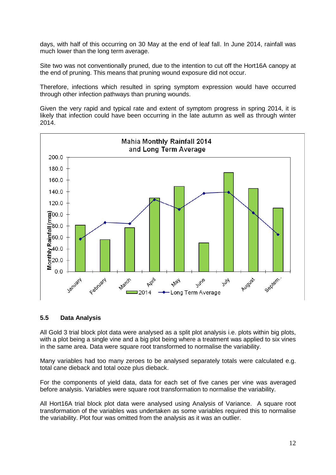days, with half of this occurring on 30 May at the end of leaf fall. In June 2014, rainfall was much lower than the long term average.

Site two was not conventionally pruned, due to the intention to cut off the Hort16A canopy at the end of pruning. This means that pruning wound exposure did not occur.

Therefore, infections which resulted in spring symptom expression would have occurred through other infection pathways than pruning wounds.

Given the very rapid and typical rate and extent of symptom progress in spring 2014, it is likely that infection could have been occurring in the late autumn as well as through winter 2014.



## **5.5 Data Analysis**

All Gold 3 trial block plot data were analysed as a split plot analysis i.e. plots within big plots, with a plot being a single vine and a big plot being where a treatment was applied to six vines in the same area. Data were square root transformed to normalise the variability.

Many variables had too many zeroes to be analysed separately totals were calculated e.g. total cane dieback and total ooze plus dieback.

For the components of yield data, data for each set of five canes per vine was averaged before analysis. Variables were square root transformation to normalise the variability.

All Hort16A trial block plot data were analysed using Analysis of Variance. A square root transformation of the variables was undertaken as some variables required this to normalise the variability. Plot four was omitted from the analysis as it was an outlier.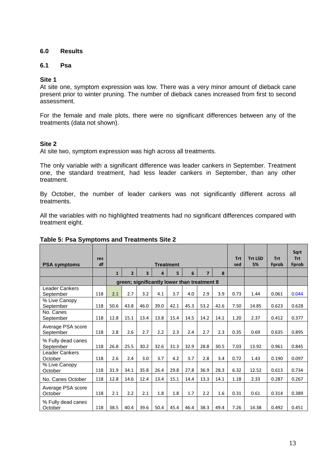### **6.0 Results**

### **6.1 Psa**

#### **Site 1**

At site one, symptom expression was low. There was a very minor amount of dieback cane present prior to winter pruning. The number of dieback canes increased from first to second assessment.

For the female and male plots, there were no significant differences between any of the treatments (data not shown).

#### **Site 2**

At site two, symptom expression was high across all treatments.

The only variable with a significant difference was leader cankers in September. Treatment one, the standard treatment, had less leader cankers in September, than any other treatment.

By October, the number of leader cankers was not significantly different across all treatments.

All the variables with no highlighted treatments had no significant differences compared with treatment eight.

|                                 | res |              |                                             |      |      |                  |      |                |      | <b>Trt</b> | <b>Trt LSD</b> | <b>Trt</b> | Sart<br><b>Trt</b> |
|---------------------------------|-----|--------------|---------------------------------------------|------|------|------------------|------|----------------|------|------------|----------------|------------|--------------------|
| <b>PSA symptoms</b>             | df  |              |                                             |      |      | <b>Treatment</b> |      | sed            | 5%   | Fprob      | Fprob          |            |                    |
|                                 |     | $\mathbf{1}$ | $\overline{2}$                              | 3    | 4    | 5                | 6    | $\overline{ }$ | 8    |            |                |            |                    |
|                                 |     |              | green; significantly lower than treatment 8 |      |      |                  |      |                |      |            |                |            |                    |
| Leader Cankers<br>September     | 118 | 2.1          | 2.7                                         | 3.2  | 4.1  | 3.7              | 4.0  | 2.9            | 3.9  | 0.73       | 1.44           | 0.061      | 0.044              |
| % Live Canopy<br>September      | 118 | 50.6         | 43.8                                        | 46.0 | 39.0 | 42.1             | 45.3 | 53.2           | 42.6 | 7.50       | 14.85          | 0.623      | 0.628              |
| No. Canes<br>September          | 118 | 12.8         | 15.1                                        | 13.4 | 13.8 | 15.4             | 14.5 | 14.2           | 14.1 | 1.20       | 2.37           | 0.412      | 0.377              |
| Average PSA score<br>September  | 118 | 2.8          | 2.6                                         | 2.7  | 2.2  | 2.3              | 2.4  | 2.7            | 2.3  | 0.35       | 0.69           | 0.635      | 0.895              |
| % Fully dead canes<br>September | 118 | 26.8         | 25.5                                        | 30.2 | 32.6 | 31.3             | 32.9 | 28.8           | 30.5 | 7.03       | 13.92          | 0.961      | 0.845              |
| Leader Cankers<br>October       | 118 | 2.6          | 2.4                                         | 3.0  | 3.7  | 4.2              | 3.7  | 2.8            | 3.4  | 0.72       | 1.43           | 0.190      | 0.097              |
| % Live Canopy<br>October        | 118 | 31.9         | 34.1                                        | 35.8 | 26.4 | 29.8             | 27.8 | 36.9           | 28.3 | 6.32       | 12.52          | 0.613      | 0.734              |
| No. Canes October               | 118 | 12.8         | 14.6                                        | 12.4 | 13.4 | 15.1             | 14.4 | 13.3           | 14.1 | 1.18       | 2.33           | 0.287      | 0.267              |
| Average PSA score<br>October    | 118 | 2.1          | 2.2                                         | 2.1  | 1.8  | 1.8              | 1.7  | 2.2            | 1.6  | 0.31       | 0.61           | 0.314      | 0.389              |
| % Fully dead canes<br>October   | 118 | 38.5         | 40.4                                        | 39.6 | 50.4 | 45.4             | 46.4 | 38.3           | 49.4 | 7.26       | 14.38          | 0.492      | 0.451              |

#### **Table 5: Psa Symptoms and Treatments Site 2**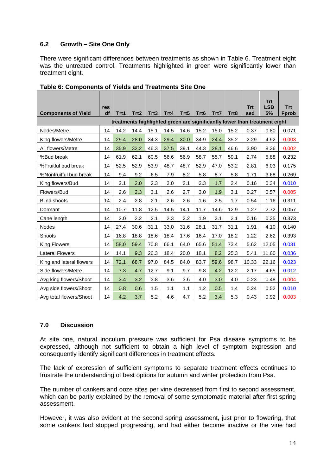## **6.2 Growth – Site One Only**

There were significant differences between treatments as shown in Table 6. Treatment eight was the untreated control. Treatments highlighted in green were significantly lower than treatment eight.

|                                                                                                   | res |      |                  |      |      |                  |      |      |      | <b>Trt</b> | <b>Trt</b><br><b>LSD</b>                                                  | <b>Trt</b> |  |  |
|---------------------------------------------------------------------------------------------------|-----|------|------------------|------|------|------------------|------|------|------|------------|---------------------------------------------------------------------------|------------|--|--|
| <b>Components of Yield</b>                                                                        | df  | Trt1 | Trt <sub>2</sub> | Trt3 | Trt4 | Trt <sub>5</sub> | Trt6 | Trt7 | Trt8 | sed        | 5%                                                                        | Fprob      |  |  |
|                                                                                                   |     |      |                  |      |      |                  |      |      |      |            | treatments highlighted green are significantly lower than treatment eight |            |  |  |
| 15.1<br>14.5<br>15.2<br>14.2<br>14.4<br>14.6<br>15.2<br>15.0<br>0.37<br>Nodes/Metre<br>14<br>0.80 |     |      |                  |      |      |                  |      |      |      |            |                                                                           |            |  |  |
| King flowers/Metre                                                                                | 14  | 29.4 | 28.0             | 34.3 | 29.4 | 30.0             | 34.9 | 24.4 | 35.2 | 2.29       | 4.92                                                                      | 0.003      |  |  |
| All flowers/Metre                                                                                 | 14  | 35.9 | 32.2             | 46.3 | 37.5 | 39.1             | 44.3 | 28.1 | 46.6 | 3.90       | 8.36                                                                      | 0.002      |  |  |
| %Bud break                                                                                        | 14  | 61.9 | 62.1             | 60.5 | 56.6 | 56.9             | 58.7 | 55.7 | 59.1 | 2.74       | 5.88                                                                      | 0.232      |  |  |
| %Fruitful bud break                                                                               | 14  | 52.5 | 52.9             | 53.9 | 48.7 | 48.7             | 52.9 | 47.0 | 53.2 | 2.81       | 6.03                                                                      | 0.175      |  |  |
| %Nonfruitful bud break                                                                            | 14  | 9.4  | 9.2              | 6.5  | 7.9  | 8.2              | 5.8  | 8.7  | 5.8  | 1.71       | 3.68                                                                      | 0.269      |  |  |
| King flowers/Bud                                                                                  | 14  | 2.1  | 2.0              | 2.3  | 2.0  | 2.1              | 2.3  | 1.7  | 2.4  | 0.16       | 0.34                                                                      | 0.010      |  |  |
| Flowers/Bud                                                                                       | 14  | 2.6  | 2.3              | 3.1  | 2.6  | 2.7              | 3.0  | 1.9  | 3.1  | 0.27       | 0.57                                                                      | 0.005      |  |  |
| <b>Blind shoots</b>                                                                               | 14  | 2.4  | 2.8              | 2.1  | 2.6  | 2.6              | 1.6  | 2.5  | 1.7  | 0.54       | 1.16                                                                      | 0.311      |  |  |
| Dormant                                                                                           | 14  | 10.7 | 11.8             | 12.5 | 14.5 | 14.1             | 11.7 | 14.6 | 12.9 | 1.27       | 2.72                                                                      | 0.057      |  |  |
| Cane length                                                                                       | 14  | 2.0  | 2.2              | 2.1  | 2.3  | 2.2              | 1.9  | 2.1  | 2.1  | 0.16       | 0.35                                                                      | 0.373      |  |  |
| <b>Nodes</b>                                                                                      | 14  | 27.4 | 30.6             | 31.1 | 33.0 | 31.6             | 28.1 | 31.7 | 31.1 | 1.91       | 4.10                                                                      | 0.140      |  |  |
| Shoots                                                                                            | 14  | 16.8 | 18.8             | 18.6 | 18.4 | 17.6             | 16.4 | 17.0 | 18.2 | 1.22       | 2.62                                                                      | 0.393      |  |  |
| King Flowers                                                                                      | 14  | 58.0 | 59.4             | 70.8 | 66.1 | 64.0             | 65.6 | 51.4 | 73.4 | 5.62       | 12.05                                                                     | 0.031      |  |  |
| <b>Lateral Flowers</b>                                                                            | 14  | 14.1 | 9.3              | 26.3 | 18.4 | 20.0             | 18.1 | 8.2  | 25.3 | 5.41       | 11.60                                                                     | 0.036      |  |  |
| King and lateral flowers                                                                          | 14  | 72.1 | 68.7             | 97.0 | 84.5 | 84.0             | 83.7 | 59.6 | 98.7 | 10.33      | 22.16                                                                     | 0.023      |  |  |
| Side flowers/Metre                                                                                | 14  | 7.3  | 4.7              | 12.7 | 9.1  | 9.7              | 9.8  | 4.2  | 12.2 | 2.17       | 4.65                                                                      | 0.012      |  |  |
| Avg king flowers/Shoot                                                                            | 14  | 3.4  | 3.2              | 3.8  | 3.6  | 3.6              | 4.0  | 3.0  | 4.0  | 0.23       | 0.48                                                                      | 0.004      |  |  |
| Avg side flowers/Shoot                                                                            | 14  | 0.8  | 0.6              | 1.5  | 1.1  | 1.1              | 1.2  | 0.5  | 1.4  | 0.24       | 0.52                                                                      | 0.010      |  |  |
| Avg total flowers/Shoot                                                                           | 14  | 4.2  | 3.7              | 5.2  | 4.6  | 4.7              | 5.2  | 3.4  | 5.3  | 0.43       | 0.92                                                                      | 0.003      |  |  |

**Table 6: Components of Yields and Treatments Site One**

## **7.0 Discussion**

At site one, natural inoculum pressure was sufficient for Psa disease symptoms to be expressed, although not sufficient to obtain a high level of symptom expression and consequently identify significant differences in treatment effects.

The lack of expression of sufficient symptoms to separate treatment effects continues to frustrate the understanding of best options for autumn and winter protection from Psa.

The number of cankers and ooze sites per vine decreased from first to second assessment, which can be partly explained by the removal of some symptomatic material after first spring assessment.

However, it was also evident at the second spring assessment, just prior to flowering, that some cankers had stopped progressing, and had either become inactive or the vine had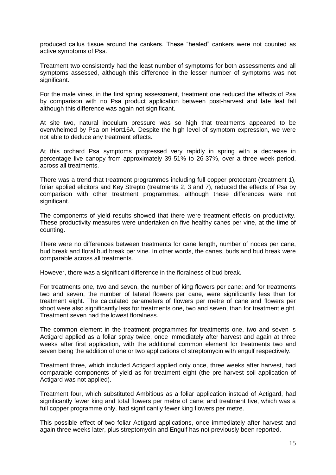produced callus tissue around the cankers. These "healed" cankers were not counted as active symptoms of Psa.

Treatment two consistently had the least number of symptoms for both assessments and all symptoms assessed, although this difference in the lesser number of symptoms was not significant.

For the male vines, in the first spring assessment, treatment one reduced the effects of Psa by comparison with no Psa product application between post-harvest and late leaf fall although this difference was again not significant.

At site two, natural inoculum pressure was so high that treatments appeared to be overwhelmed by Psa on Hort16A. Despite the high level of symptom expression, we were not able to deduce any treatment effects.

At this orchard Psa symptoms progressed very rapidly in spring with a decrease in percentage live canopy from approximately 39-51% to 26-37%, over a three week period, across all treatments.

There was a trend that treatment programmes including full copper protectant (treatment 1), foliar applied elicitors and Key Strepto (treatments 2, 3 and 7), reduced the effects of Psa by comparison with other treatment programmes, although these differences were not significant.

The components of yield results showed that there were treatment effects on productivity. These productivity measures were undertaken on five healthy canes per vine, at the time of counting.

There were no differences between treatments for cane length, number of nodes per cane, bud break and floral bud break per vine. In other words, the canes, buds and bud break were comparable across all treatments.

However, there was a significant difference in the floralness of bud break.

.

For treatments one, two and seven, the number of king flowers per cane; and for treatments two and seven, the number of lateral flowers per cane, were significantly less than for treatment eight. The calculated parameters of flowers per metre of cane and flowers per shoot were also significantly less for treatments one, two and seven, than for treatment eight. Treatment seven had the lowest floralness.

The common element in the treatment programmes for treatments one, two and seven is Actigard applied as a foliar spray twice, once immediately after harvest and again at three weeks after first application, with the additional common element for treatments two and seven being the addition of one or two applications of streptomycin with engulf respectively.

Treatment three, which included Actigard applied only once, three weeks after harvest, had comparable components of yield as for treatment eight (the pre-harvest soil application of Actigard was not applied).

Treatment four, which substituted Ambitious as a foliar application instead of Actigard, had significantly fewer king and total flowers per metre of cane; and treatment five, which was a full copper programme only, had significantly fewer king flowers per metre.

This possible effect of two foliar Actigard applications, once immediately after harvest and again three weeks later, plus streptomycin and Engulf has not previously been reported.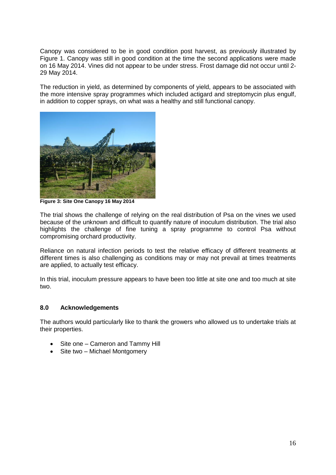Canopy was considered to be in good condition post harvest, as previously illustrated by Figure 1. Canopy was still in good condition at the time the second applications were made on 16 May 2014. Vines did not appear to be under stress. Frost damage did not occur until 2- 29 May 2014.

The reduction in yield, as determined by components of yield, appears to be associated with the more intensive spray programmes which included actigard and streptomycin plus engulf, in addition to copper sprays, on what was a healthy and still functional canopy.



**Figure 3: Site One Canopy 16 May 2014**

The trial shows the challenge of relying on the real distribution of Psa on the vines we used because of the unknown and difficult to quantify nature of inoculum distribution. The trial also highlights the challenge of fine tuning a spray programme to control Psa without compromising orchard productivity.

Reliance on natural infection periods to test the relative efficacy of different treatments at different times is also challenging as conditions may or may not prevail at times treatments are applied, to actually test efficacy.

In this trial, inoculum pressure appears to have been too little at site one and too much at site two.

#### **8.0 Acknowledgements**

The authors would particularly like to thank the growers who allowed us to undertake trials at their properties.

- Site one Cameron and Tammy Hill
- Site two Michael Montgomery